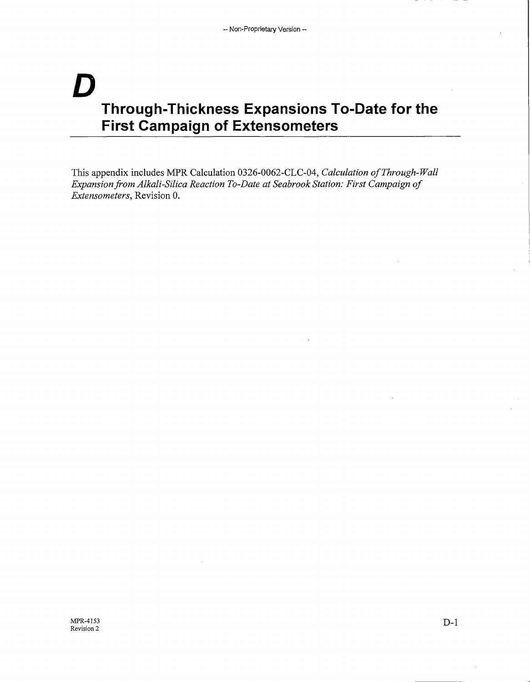# *D*  **Through-Thickness Expansions To-Date for the First Campaign of Extensometers**

This appendix includes MPR Calculation 0326-0062-CLC-04, *Calculation of Through-Wall Expansion.from Alkali-Silica Reaction To-Date at Seabrook Station: First Campaign of Extensometers,* Revision 0.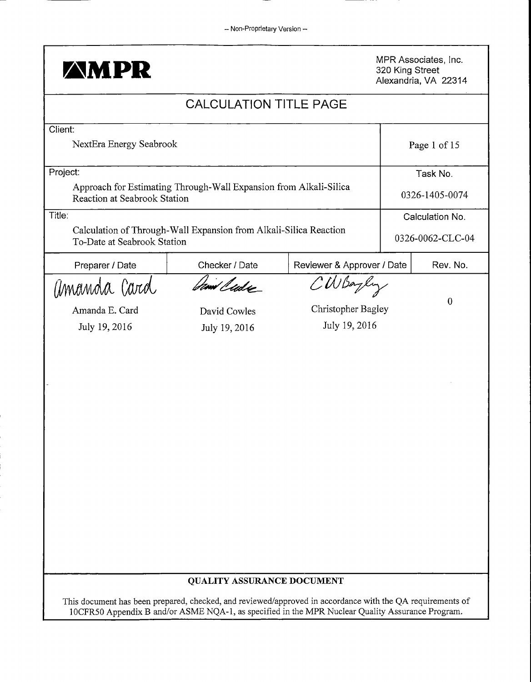| <b>AMPR</b>                                                                                                   |                                        |                                                                    | 320 King Street | MPR Associates, Inc.<br>Alexandria, VA 22314 |  |
|---------------------------------------------------------------------------------------------------------------|----------------------------------------|--------------------------------------------------------------------|-----------------|----------------------------------------------|--|
|                                                                                                               | <b>CALCULATION TITLE PAGE</b>          |                                                                    |                 |                                              |  |
| Client:<br>NextEra Energy Seabrook                                                                            |                                        |                                                                    |                 | Page 1 of 15                                 |  |
| Project:<br>Approach for Estimating Through-Wall Expansion from Alkali-Silica<br>Reaction at Seabrook Station |                                        |                                                                    |                 | Task No.<br>0326-1405-0074                   |  |
| Title:<br>Calculation of Through-Wall Expansion from Alkali-Silica Reaction<br>To-Date at Seabrook Station    |                                        |                                                                    |                 | Calculation No.<br>0326-0062-CLC-04          |  |
| Preparer / Date                                                                                               | Checker / Date                         | Reviewer & Approver / Date                                         |                 | Rev. No.                                     |  |
| amanda Card<br>Amanda E. Card<br>July 19, 2016                                                                | 'lude<br>David Cowles<br>July 19, 2016 | $\mathcal{C}\mathcal{W}$ ba<br>Christopher Bagley<br>July 19, 2016 |                 | $\boldsymbol{0}$                             |  |
| This document has been prepared, checked, and reviewed/approved in accordance with the QA requirements of     | QUALITY ASSURANCE DOCUMENT             |                                                                    |                 |                                              |  |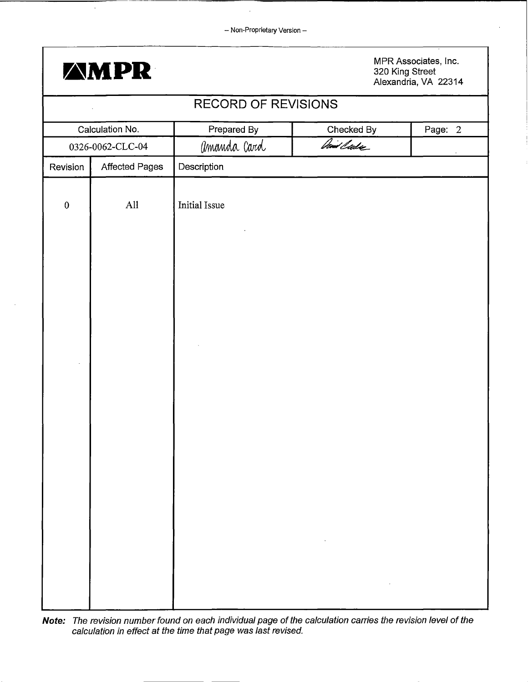

 $\hat{\mathcal{A}}$ 

MPR Associates, Inc.<br>320 King Street Alexandria, VA 22314

|                 | <b>RECORD OF REVISIONS</b> |               |                                                                                                                                                                                                                                                                                                                                                                                                                                                             |         |
|-----------------|----------------------------|---------------|-------------------------------------------------------------------------------------------------------------------------------------------------------------------------------------------------------------------------------------------------------------------------------------------------------------------------------------------------------------------------------------------------------------------------------------------------------------|---------|
| Calculation No. |                            | Prepared By   | Checked By                                                                                                                                                                                                                                                                                                                                                                                                                                                  | Page: 2 |
|                 | 0326-0062-CLC-04           | amanda Card   | Daniel Leader                                                                                                                                                                                                                                                                                                                                                                                                                                               | $\cdot$ |
| Revision        | Affected Pages             | Description   |                                                                                                                                                                                                                                                                                                                                                                                                                                                             |         |
| $\pmb{0}$       | All                        | Initial Issue |                                                                                                                                                                                                                                                                                                                                                                                                                                                             |         |
|                 |                            |               |                                                                                                                                                                                                                                                                                                                                                                                                                                                             |         |
|                 |                            |               |                                                                                                                                                                                                                                                                                                                                                                                                                                                             |         |
|                 |                            |               |                                                                                                                                                                                                                                                                                                                                                                                                                                                             |         |
|                 |                            |               |                                                                                                                                                                                                                                                                                                                                                                                                                                                             |         |
|                 |                            |               |                                                                                                                                                                                                                                                                                                                                                                                                                                                             |         |
|                 |                            |               | $\mathcal{L}(\mathcal{L}(\mathcal{L}(\mathcal{L}(\mathcal{L}(\mathcal{L}(\mathcal{L}(\mathcal{L}(\mathcal{L}(\mathcal{L}(\mathcal{L}(\mathcal{L}(\mathcal{L}(\mathcal{L}(\mathcal{L}(\mathcal{L}(\mathcal{L}(\mathcal{L}(\mathcal{L}(\mathcal{L}(\mathcal{L}(\mathcal{L}(\mathcal{L}(\mathcal{L}(\mathcal{L}(\mathcal{L}(\mathcal{L}(\mathcal{L}(\mathcal{L}(\mathcal{L}(\mathcal{L}(\mathcal{L}(\mathcal{L}(\mathcal{L}(\mathcal{L}(\mathcal{L}(\mathcal{$ |         |
|                 |                            |               | $\mathcal{L}^{\mathcal{L}}(\mathcal{L}^{\mathcal{L}}(\mathcal{L}^{\mathcal{L}}(\mathcal{L}^{\mathcal{L}}(\mathcal{L}^{\mathcal{L}}(\mathcal{L}^{\mathcal{L}}(\mathcal{L}^{\mathcal{L}})))$                                                                                                                                                                                                                                                                  |         |

**Note:** The revision number found on each individual page of the calculation carries the revision level of the calculation in effect at the time that page was last revised.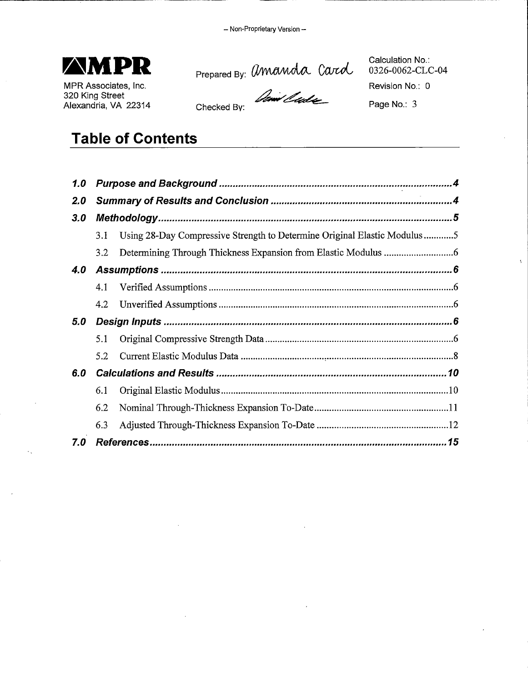

Calculation No.: 0326-0062-CLC-04

MPR Associates, Inc. 320 King Street Alexandria, VA 22314

**Table of Contents** 

Checked By:

Page No.: 3

Revision No.: 0

## **1.0 Purpose and Background ..................................................................................... 4 2.0 Summary of Results and Conclusion ................................................................. .4**  *3.0* **Methodology ...........................................................................................................** *5*  3.1 Using 28-Day Compressive Strength to Determine Original Elastic Modulus ............ 5 3.2 Determining Through Thickness Expansion from Elastic Modulus ............................ 6 **4.0 Assumptions .......................................................................................................... 6**  4.1 Verified Assumptions ................................................................................................... 6 4.2 Unverified Assumptions ............................................................................................... 6 **5.0 Design Inputs** ......................................................................................................... **6**  5 .1 Original Compressive Strength Data ............................................................................ 6 5.2 Current Elastic Modulus Data .................................. , ................................................... 8 **6.0 Calculations and Results .................................................................................... 10**  6.1 Original Elastic Modulus ............................................................................................ 10 6.2 Nominal Through-Thickness Expansion To-Date ...................................................... 11 6.3 Adjusted Through-Thickness Expansion To-Date ..................................................... 12 **7. 0 References ............................................................................................................ 15**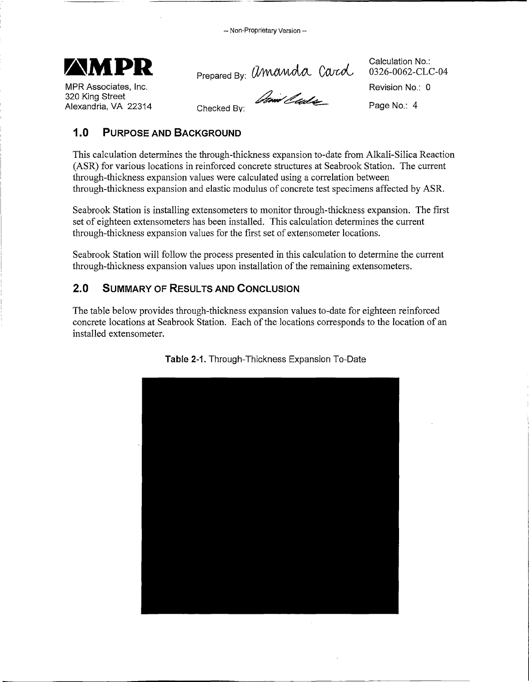

Calculation No.: 0326-0062-CLC-04 Revision No.: 0

MPR Associates, Inc. 320 King Street Alexandria, VA 22314

Checked By:

Page No.: 4

## **1.0 PURPOSE AND BACKGROUND**

This calculation determines the through-thickness expansion to-date from Alkali-Silica Reaction (ASR) for various locations in reinforced concrete structures at Seabrook Station. The current through-thickness expansion values were calculated using a correlation between through-thickness expansion and elastic modulus of concrete test specimens affected by ASR.

Seabrook Station is installing extensometers to monitor through-thickness expansion. The first set of eighteen extensometers has been installed. This calculation determines the current through-thickness expansion values for the first set of extensometer locations.

Seabrook Station will follow the process presented in this calculation to determine the current through-thickness expansion values upon installation of the remaining extensometers.

## **2.0 SUMMARY OF RESULTS AND CONCLUSION**

The table below provides through-thickness expansion values to-date for eighteen reinforced concrete locations at Seabrook Station. Each of the locations corresponds to the location of an installed extensometer.



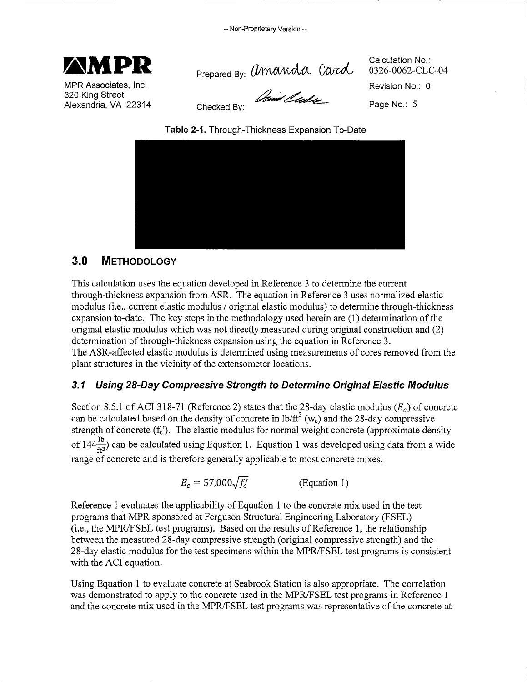

Prepared By: Umanda Card

Calculation No.: 0326-0062-CLC-04

Checked By:

Page No.: 5

Revision No.: 0

**Table 2-1.** Through-Thickness Expansion To-Date



## **3.0 METHODOLOGY**

This calculation uses the equation developed in Reference 3 to determine the current through-thickness expansion from ASR. The equation in Reference 3 uses normalized elastic modulus (i.e., current elastic modulus / original elastic modulus) to determine through-thickness expansion to-date. The key steps in the methodology used herein are (1) determination of the original elastic modulus which was not directly measured during original construction and (2) determination of through-thickness expansion using the equation in Reference 3. The ASR-affected elastic modulus is determined using measurements of cores removed from the plant structures in the vicinity of the extensometer locations.

## **3.1 Using 28-Day Compressive Strength to Determine Original Elastic Modulus**

Section 8.5.1 of ACI 318-71 (Reference 2) states that the 28-day elastic modulus  $(E_c)$  of concrete can be calculated based on the density of concrete in  $lb/ft^3$  (w<sub>c</sub>) and the 28-day compressive strength of concrete  $(f_c)$ . The elastic modulus for normal weight concrete (approximate density of  $144 \frac{lb}{ft43}$ ) can be calculated using Equation 1. Equation 1 was developed using data from a wide range of concrete and is therefore generally applicable to most concrete mixes.

$$
E_c = 57,000\sqrt{f'_c}
$$
 (Equation 1)

Reference 1 evaluates the applicability of Equation 1 to the concrete mix used in the test programs that MPR sponsored at Ferguson Structural Engineering Laboratory (FSEL) (i.e., the MPR/FSEL test programs). Based on the results of Reference 1, the relationship between the measured 28-day compressive strength (original compressive strength) and the 28-day elastic modulus for the test specimens within the MPR/FSEL test programs is consistent with the ACI equation.

Using Equation 1 to evaluate concrete at Seabrook Station is also appropriate. The correlation was demonstrated to apply to the concrete used in the MPR/FSEL test programs in Reference 1 and the concrete mix used in the MPR/FSEL test programs was representative of the concrete at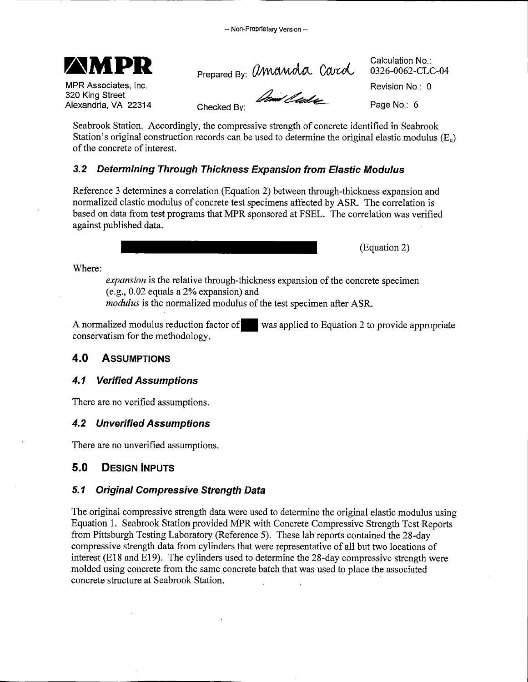

MPR Associates, Inc. 320 King Street Alexandria, VA 22314

Calculation No.: 0326-0062-CLC-04

Revision No.: 0

Checked By:

Page No.: 6

Seabrook Station. Accordingly, the compressive strength of concrete identified in Seabrook Station's original construction records can be used to determine the original elastic modulus  $(E<sub>c</sub>)$ of the concrete of interest.

#### **3.2 Determining Through Thickness Expansion from Elastic Modulus**

Reference 3 determines a correlation (Equation 2) between through-thickness expansion and normalized elastic modulus of concrete test specimens affected by ASR. The correlation is based on data from test programs that MPR sponsored at FSEL. The correlation was verified against published data.

(Equation 2)

Where:

*expansion* is the relative through-thickness expansion of the concrete specimen (e.g., 0.02 equals a 2% expansion) and *modulus* is the normalized modulus of the test specimen after ASR.

A normalized modulus reduction factor of. was applied to Equation 2 to provide appropriate conservatism for the methodology.

#### **4.0 ASSUMPTIONS**

#### **4. 1 Verified Assumptions**

There are no verified assumptions.

#### **4.2 Unverified Assumptions**

There are no unverified assumptions.

#### **5.0 DESIGN INPUTS**

#### **5. 1 Original Compressive Strength Data**

The original compressive strength data were used to determine the original elastic modulus using Equation 1. Seabrook Station provided MPR with Concrete Compressive Strength Test Reports from Pittsburgh Testing Laboratory (Reference 5). These lab reports contained the 28-day compressive strength data from cylinders that were representative of all but two locations of interest (E18 and E19). The cylinders used to determine the 28-day compressive strength were molded using concrete from the same concrete batch that was used to place the associated concrete structure at Seabrook Station.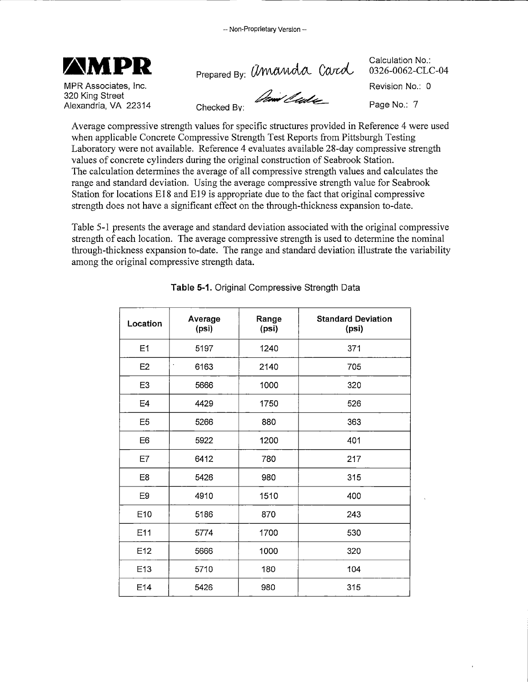

Prepared By:

MPR Associates, Inc. 320 King Street Alexandria, VA 22314

Checked Bv:

Calculation No.: 0326-0062-CLC-04

Page No.: 7

Average compressive strength values for specific structures provided in Reference 4 were used when applicable Concrete Compressive Strength Test Reports from Pittsburgh Testing Laboratory were not available. Reference 4 evaluates available 28-day compressive strength values of concrete cylinders during the original construction of Seabrook Station. The calculation determines the average of all compressive strength values and calculates the range and standard deviation. Using the average compressive strength value for Seabrook Station for locations E18 and E19 is appropriate due to the fact that original compressive strength does not have a significant effect on the through-thickness expansion to-date.

Table 5-1 presents the average and standard deviation associated with the original compressive strength of each location. The average compressive strength is used to determine the nominal through-thickness expansion to-date. The range and standard deviation illustrate the variability among the original compressive strength data.

| Location       | Average<br>(psi) | Range<br>(psi) | <b>Standard Deviation</b><br>(psi) |
|----------------|------------------|----------------|------------------------------------|
| E1             | 5197             | 1240           | 371                                |
| E <sub>2</sub> | 6163             | 2140           | 705                                |
| E3             | 5666             | 1000           | 320                                |
| E4             | 4429             | 1750           | 526                                |
| E <sub>5</sub> | 5266             | 880            | 363                                |
| E <sub>6</sub> | 5922             | 1200           | 401                                |
| E7             | 6412             | 780            | 217                                |
| E <sub>8</sub> | 5426             | 980            | 315                                |
| E <sub>9</sub> | 4910             | 1510           | 400                                |
| E10            | 5186             | 870            | 243                                |
| E11            | 5774             | 1700           | 530                                |
| E12            | 5666             | 1000           | 320                                |
| E13            | 5710             | 180            | 104                                |
| E14            | 5426             | 980            | 315                                |

**Table 5-1.** Original Compressive Strength Data

Revision No.: 0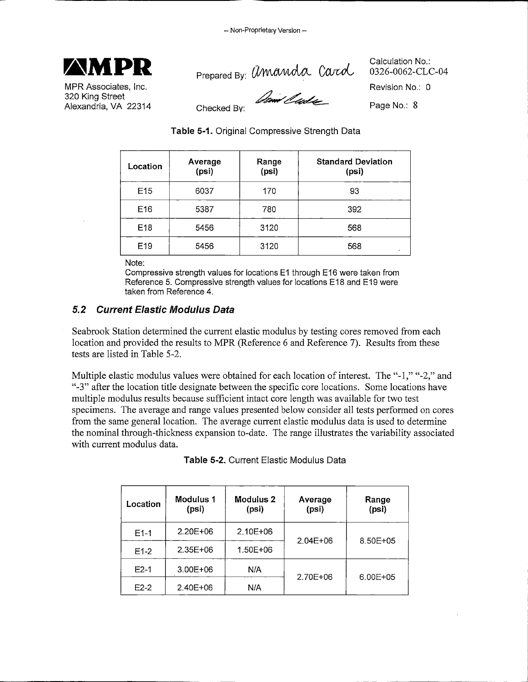

Calculation No.: 0326-0062-CLC-04

MPR Associates, Inc. 320 King Street Alexandria, VA 22314

Checked By:

Revision No.: 0

Page No.: 8

**Table 5-1.** Original Compressive Strength Data

| Location        | Average<br>(psi) | Range<br>(psi) | <b>Standard Deviation</b><br>(psi) |
|-----------------|------------------|----------------|------------------------------------|
| E <sub>15</sub> | 6037             | 170            | 93                                 |
| E <sub>16</sub> | 5387             | 780            | 392                                |
| E <sub>18</sub> | 5456             | 3120           | 568                                |
| E <sub>19</sub> | 5456             | 3120           | 568                                |

Note:

Compressive strength values for locations E1 through E16 were taken from Reference 5. Compressive strength values for locations E18 and E19 were taken from Reference 4.

### **5.2 Current Elastic Modulus Data**

Seabrook Station determined the current elastic modulus by testing cores removed from each location and provided the results to MPR (Reference 6 and Reference 7). Results from these tests are listed in Table 5-2.

Multiple elastic modulus values were obtained for each location of interest. The "-1," "-2," and "-3" after the location title designate between the specific core locations. Some locations have multiple modulus results because sufficient intact core length was available for two test specimens. The average and range values presented below consider all tests performed on cores from the same general location. The average current elastic modulus data is used to determine the nominal through-thickness expansion to-date. The range illustrates the variability associated with current modulus data.

| Table 5-2. Current Elastic Modulus Data |  |
|-----------------------------------------|--|
|-----------------------------------------|--|

| Location | Modulus 1<br>(psi) | Modulus 2<br>(psi) | Average<br>(psi) | Range<br>(psi) |
|----------|--------------------|--------------------|------------------|----------------|
| $E1-1$   | 2.20E+06           | $2.10E + 06$       |                  | 8.50E+05       |
| $E1-2$   | 2.35E+06           | 1.50E+06           | $2.04E + 06$     |                |
| $E2-1$   | $3.00E + 06$       | N/A                | 2.70E+06         | 6.00E+05       |
| $E2-2$   | $2.40E + 06$       | N/A                |                  |                |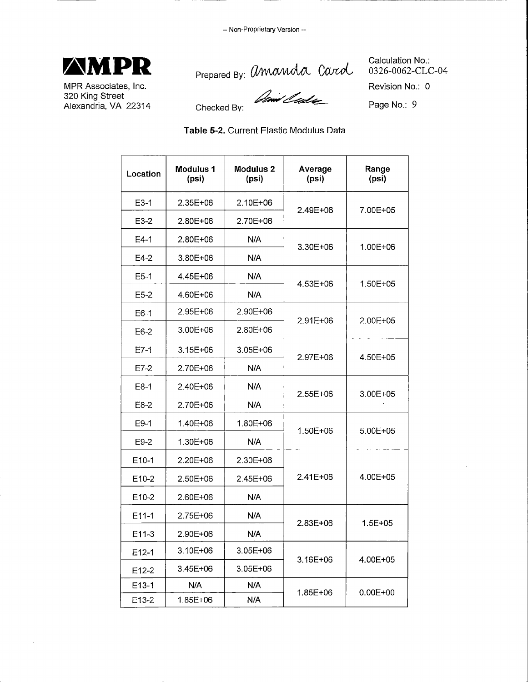

Prepared By:

Calculation No.: 0326-0062-CLC-04

MPR Associates, Inc. 320 King Street Alexandria, VA 22314

Checked By:

Page No.: 9

Revision No.: 0

**Table 5-2.** Current Elastic Modulus Data

| Location | Modulus 1<br>(psi) | Modulus <sub>2</sub><br>(psi) | Average<br>(psi) | Range<br>(psi) |
|----------|--------------------|-------------------------------|------------------|----------------|
| $E3-1$   | 2.35E+06           | 2.10E+06                      | 2.49E+06         | 7.00E+05       |
| $E3-2$   | 2.80E+06           | 2.70E+06                      |                  |                |
| $E4-1$   | 2.80E+06           | N/A                           | 3.30E+06         | 1.00E+06       |
| $E4-2$   | 3.80E+06           | N/A                           |                  |                |
| $E5-1$   | 4.45E+06           | N/A                           | 4.53E+06         | 1.50E+05       |
| $E5-2$   | 4.60E+06           | N/A                           |                  |                |
| $E6-1$   | 2.95E+06           | 2.90E+06                      | $2.91E + 06$     | 2.00E+05       |
| E6-2     | 3.00E+06           | 2.80E+06                      |                  |                |
| $E7-1$   | 3.15E+06           | 3.05E+06                      | $2.97E + 06$     | 4.50E+05       |
| $E7-2$   | 2.70E+06           | N/A                           |                  |                |
| $E8-1$   | 2.40E+06           | N/A                           | $2.55E+06$       | 3.00E+05       |
| $E8-2$   | 2.70E+06           | N/A                           |                  |                |
| $E9-1$   | 1.40E+06           | 1.80E+06                      | 1.50E+06         | 5.00E+05       |
| E9-2     | 1.30E+06           | N/A                           |                  |                |
| E10-1    | 2.20E+06           | 2.30E+06                      |                  |                |
| E10-2    | 2.50E+06           | 2.45E+06                      | 2.41E+06         | 4.00E+05       |
| E10-2    | 2.60E+06           | N/A                           |                  |                |
| $E11-1$  | 2.75E+06           | N/A                           |                  |                |
| E11-3    | 2.90E+06           | N/A                           | 2.83E+06         | $1.5E + 05$    |
| E12-1    | 3.10E+06           | 3.05E+06                      |                  |                |
| E12-2    | 3.45E+06           | 3.05E+06                      | 3.16E+06         | 4.00E+05       |
| E13-1    | N/A                | N/A                           | 1.85E+06         | $0.00E + 00$   |
| E13-2    | 1.85E+06           | N/A                           |                  |                |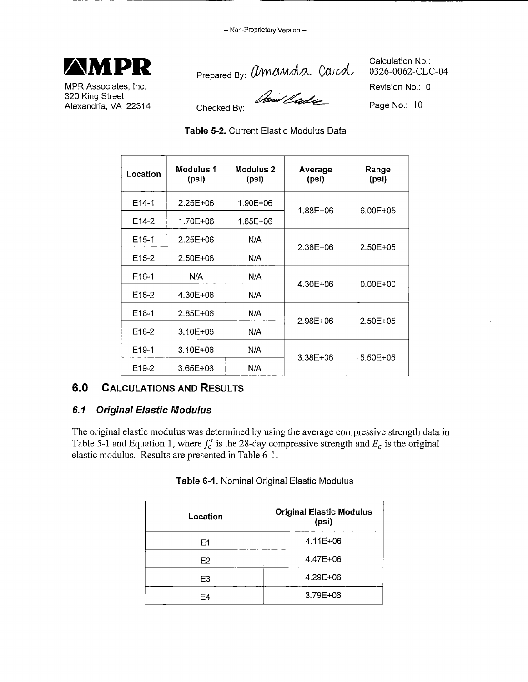

Calculation No.: 0326-0062-CLC-04 Revision No.: 0

MPR Associates, Inc. 320 King Street Alexandria, VA 22314

Checked By:

Page No.: 10

**Table 5-2.** Current Elastic Modulus Data

| Location           | Modulus 1<br>(psi) | Modulus 2<br>(psi) | Average<br>(psi) | Range<br>(psi) |
|--------------------|--------------------|--------------------|------------------|----------------|
| $E14-1$            | $2.25E + 06$       | 1.90E+06           | 1.88E+06         | 6.00E+05       |
| E14-2              | 1.70E+06           | $1.65E + 06$       |                  |                |
| $E15-1$            | $2.25E+06$         | N/A                | 2.38E+06         | 2.50E+05       |
| E <sub>15</sub> -2 | $2.50E + 06$       | N/A                |                  |                |
| E <sub>16-1</sub>  | N/A                | N/A                | 4.30E+06         | $0.00E + 00$   |
| E <sub>16</sub> -2 | 4.30E+06           | N/A                |                  |                |
| $E18-1$            | $2.85E + 06$       | N/A                | $2.98E + 06$     | $2.50E + 0.5$  |
| E <sub>18</sub> -2 | $3.10E + 06$       | N/A                |                  |                |
| $E19-1$            | $3.10E + 06$       | N/A                | 3.38E+06         |                |
| E <sub>19</sub> -2 | $3.65E + 06$       | N/A                |                  | $-5.50E + 05$  |

## **6.0 CALCULATIONS AND RESULTS**

#### **6. 1 Original Elastic Modulus**

The original elastic modulus was determined by using the average compressive strength data in Table 5-1 and Equation 1, where  $f_c$  is the 28-day compressive strength and  $E_c$  is the original elastic modulus. Results are presented in Table 6-1.

| Location | <b>Original Elastic Modulus</b><br>(psi) |
|----------|------------------------------------------|
| F1       | 4.11E+06                                 |
| E2.      | 4.47E+06                                 |
| E3       | 4.29E+06                                 |
| F4       | 3.79E+06                                 |

**Table 6-1.** Nominal Original Elastic Modulus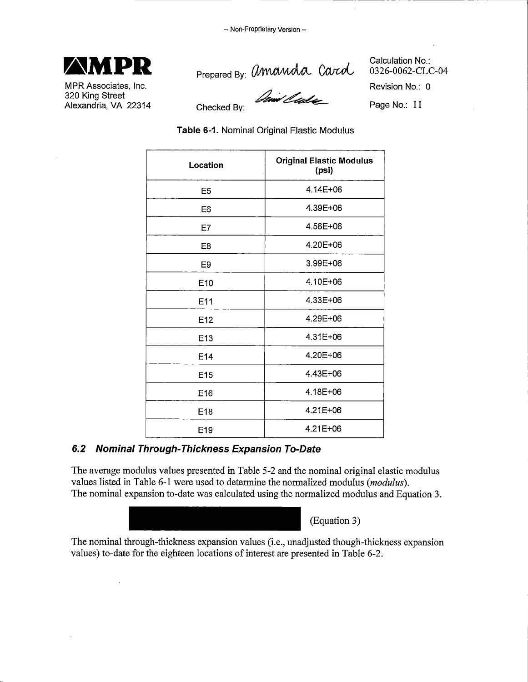

Prepared By: Umanda Card

Calculation No.: 0326-0062-CLC-04

Revision No.: 0

Checked By:

Page No.: 11

**Table 6-1.** Nominal Original Elastic Modulus

| Location        | <b>Original Elastic Modulus</b><br>(psi) |
|-----------------|------------------------------------------|
| E <sub>5</sub>  | 4.14E+06                                 |
| E6              | 4.39E+06                                 |
| E7              | 4.56E+06                                 |
| E8              | 4.20E+06                                 |
| E <sub>9</sub>  | 3.99E+06                                 |
| E10             | 4.10E+06                                 |
| E11             | 4.33E+06                                 |
| E12             | 4.29E+06                                 |
| E <sub>13</sub> | 4.31E+06                                 |
| E14             | 4.20E+06                                 |
| E <sub>15</sub> | 4.43E+06                                 |
| E16             | 4.18E+06                                 |
| E18             | 4.21E+06                                 |
| E19             | $4.21E + 06$                             |

#### **6.2 Nominal Through-Thickness Expansion To-Date**

The average modulus values presented in Table 5-2 and the nominal original elastic modulus values listed in Table 6-1 were used to determine the normalized modulus *(modulus).*  The nominal expansion to-date was calculated using the normalized modulus and Equation 3.

(Equation 3)

The nominal through-thickness expansion values (i.e., unadjusted though-thickness expansion values) to-date for the eighteen locations of interest are presented in Table 6-2.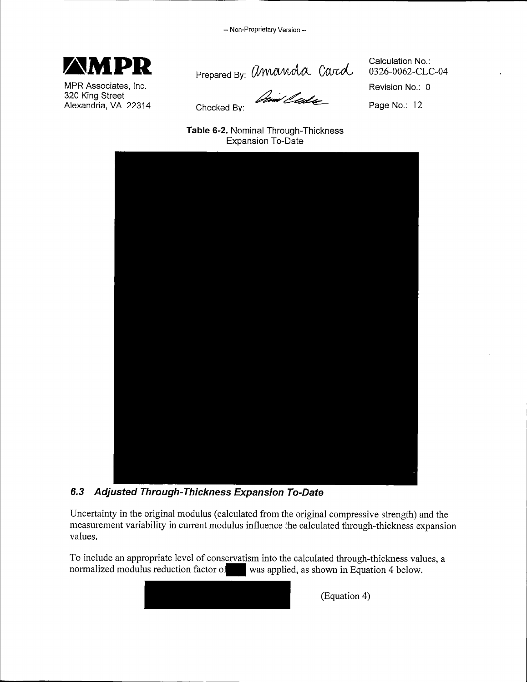

Prepared By: Umanda Card

Calculation No.: 0326-0062-CLC-04

Checked By:

Revision No.: 0 Page No.: 12

**Table 6-2.** Nominal Through-Thickness Expansion To-Date



## **6.3 Adjusted Through-Thickness Expansion To-Date**

Uncertainty in the original modulus (calculated from the original compressive strength) and the measurement variability in current modulus influence the calculated through-thickness expansion values.

To include an appropriate level of conservatism into the calculated through-thickness values, a normalized modulus reduction factor of was applied, as shown in Equation 4 below.

(Equation 4)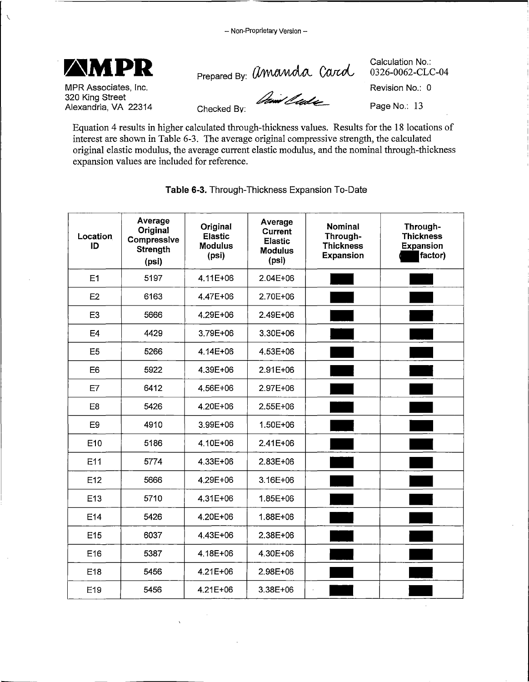

 $\sqrt{2}$ 

Prepared By:

MPR Associates, Inc. 320 King Street Alexandria, VA 22314

Checked By:

Calculation No.: 0326-0062-CLC-04

Revision No.: 0

Page No.: 13

Equation 4 results in higher calculated through-thickness values. Results for the 18 locations of interest are shown in Table 6-3. The average original compressive strength, the calculated original elastic modulus, the average current elastic modulus, and the nominal through-thickness expansion values are included for reference.

| Location<br>ID | Average<br>Original<br>Compressive<br><b>Strength</b><br>(psi) | Original<br><b>Elastic</b><br><b>Modulus</b><br>(psi) | Average<br><b>Current</b><br><b>Elastic</b><br><b>Modulus</b><br>(psi) | <b>Nominal</b><br>Through-<br><b>Thickness</b><br><b>Expansion</b> | Through-<br><b>Thickness</b><br><b>Expansion</b><br>factor) |
|----------------|----------------------------------------------------------------|-------------------------------------------------------|------------------------------------------------------------------------|--------------------------------------------------------------------|-------------------------------------------------------------|
| E1             | 5197                                                           | 4.11E+06                                              | 2.04E+06                                                               |                                                                    |                                                             |
| E2             | 6163                                                           | 4.47E+06                                              | 2.70E+06                                                               |                                                                    |                                                             |
| E <sub>3</sub> | 5666                                                           | 4.29E+06                                              | 2.49E+06                                                               |                                                                    |                                                             |
| E <sub>4</sub> | 4429                                                           | 3.79E+06                                              | 3.30E+06                                                               |                                                                    |                                                             |
| E <sub>5</sub> | 5266                                                           | 4.14E+06                                              | 4.53E+06                                                               |                                                                    |                                                             |
| E <sub>6</sub> | 5922                                                           | 4.39E+06                                              | 2.91E+06                                                               |                                                                    |                                                             |
| E7             | 6412                                                           | 4.56E+06                                              | 2.97E+06                                                               |                                                                    |                                                             |
| E <sub>8</sub> | 5426                                                           | 4.20E+06                                              | 2.55E+06                                                               |                                                                    |                                                             |
| E <sub>9</sub> | 4910                                                           | 3.99E+06                                              | 1.50E+06                                                               |                                                                    |                                                             |
| E10            | 5186                                                           | 4.10E+06                                              | 2.41E+06                                                               |                                                                    |                                                             |
| E11            | 5774                                                           | 4.33E+06                                              | 2.83E+06                                                               |                                                                    |                                                             |
| E12            | 5666                                                           | 4.29E+06                                              | 3.16E+06                                                               |                                                                    |                                                             |
| E13            | 5710                                                           | 4.31E+06                                              | 1.85E+06                                                               |                                                                    |                                                             |
| E14            | 5426                                                           | 4.20E+06                                              | 1.88E+06                                                               |                                                                    |                                                             |
| E15            | 6037                                                           | 4.43E+06                                              | 2.38E+06                                                               |                                                                    |                                                             |
| E16            | 5387                                                           | 4.18E+06                                              | 4.30E+06                                                               |                                                                    |                                                             |
| E18            | 5456                                                           | 4.21E+06                                              | 2.98E+06                                                               |                                                                    |                                                             |
| E19            | 5456                                                           | 4.21E+06                                              | 3.38E+06                                                               |                                                                    |                                                             |

**Table 6-3.** Through-Thickness Expansion To-Date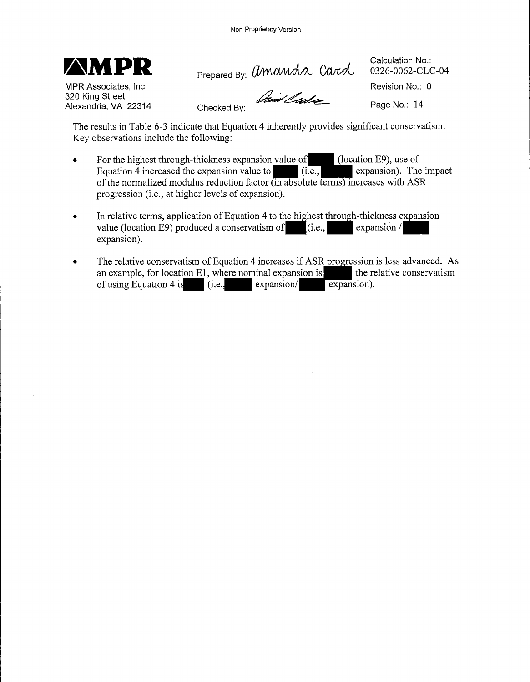

MPR Associates, Inc. 320 King Street Alexandria, VA 22314 Checked By:

**MPR** Prepared By: Umanda Card<br>
ssociates, Inc.<br>
ng Street<br>
dria VA 22314

Calculation No.: 0326-0062-CLC-04 Revision No.: 0

Page No.: 14

The results in Table 6-3 indicate that Equation 4 inherently provides significant conservatism. Key observations include the following:

- For the highest through-thickness expansion value of~ation E9), use of Equation 4 increased the expansion value to  $\overline{\textbf{a}}$  (i.e., of the normalized modulus reduction factor (in absolute terms) increases with ASR progression (i.e., at higher levels of expansion).
- In relative terms, application of Equation 4 to th<u>e hig</u>hest t<u>hroug</u>h-thickness expansion In relative terms, application of Equation 4 to the highest through-thickness expansion value (location E9) produced a conservatism of  $\begin{bmatrix} \text{(i.e.,} \text{} \text{expansion)} \end{bmatrix}$ expansion).
- The relative conservatism of Equation 4 increases if ASR progression is less advanced. As an example, for location E1, where nominal expansion is the relative conservatism of using Equation 4 is (i.e. expansion/ expansion) an example, for location E1, where nominal expansion is the relative conservatism of using Equation 4 is  $\begin{array}{|l|l|l|l|l|}\n\hline\n\end{array}$  (i.e. expansion) expansion).